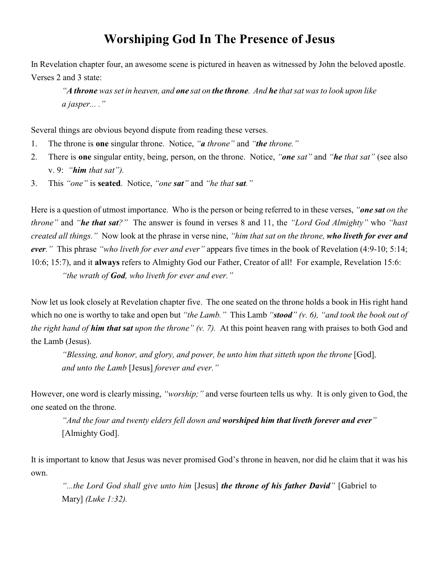## **Worshiping God In The Presence of Jesus**

In Revelation chapter four, an awesome scene is pictured in heaven as witnessed by John the beloved apostle. Verses 2 and 3 state:

*"A throne was set in heaven, and one sat on the throne. And he that sat was to look upon like a jasper... ."*

Several things are obvious beyond dispute from reading these verses.

- 1. The throne is **one** singular throne. Notice, *"a throne"* and *"the throne."*
- 2. There is **one** singular entity, being, person, on the throne. Notice, *"one sat"* and *"he that sat"* (see also v. 9: *"him that sat").*
- 3. This *"one"* is **seated**. Notice, *"one sat"* and *"he that sat."*

Here is a question of utmost importance. Who is the person or being referred to in these verses, *"one sat on the throne"* and *"he that sat?"* The answer is found in verses 8 and 11, the *"Lord God Almighty"* who *"hast created all things."* Now look at the phrase in verse nine, *"him that sat on the throne, who liveth for ever and ever."* This phrase *"who liveth for ever and ever"* appears five times in the book of Revelation (4:9-10; 5:14; 10:6; 15:7), and it **always** refers to Almighty God our Father, Creator of all! For example, Revelation 15:6: *"the wrath of God, who liveth for ever and ever."*

Now let us look closely at Revelation chapter five. The one seated on the throne holds a book in His right hand which no one is worthy to take and open but *"the Lamb."* This Lamb *"stood" (v. 6), "and took the book out of the right hand of him that sat upon the throne" (v. 7).* At this point heaven rang with praises to both God and the Lamb (Jesus).

*"Blessing, and honor, and glory, and power, be unto him that sitteth upon the throne* [God], *and unto the Lamb* [Jesus] *forever and ever."*

However, one word is clearly missing, *"worship;"* and verse fourteen tells us why. It is only given to God, the one seated on the throne.

*"And the four and twenty elders fell down and worshiped him that liveth forever and ever"* [Almighty God].

It is important to know that Jesus was never promised God's throne in heaven, nor did he claim that it was his own.

*"...the Lord God shall give unto him* [Jesus] *the throne of his father David"* [Gabriel to Mary] *(Luke 1:32).*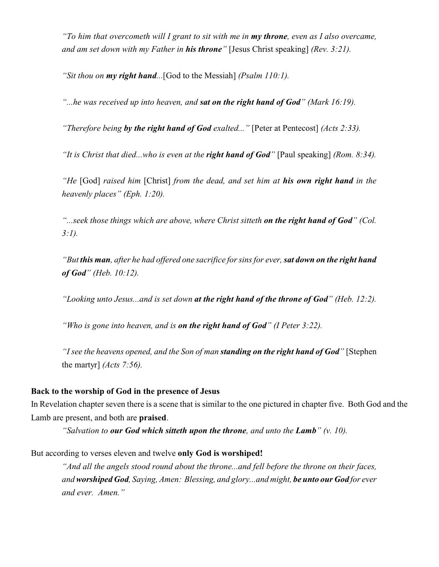*"To him that overcometh will I grant to sit with me in my throne, even as I also overcame, and am set down with my Father in his throne"* [Jesus Christ speaking] *(Rev. 3:21).*

*"Sit thou on my right hand...*[God to the Messiah] *(Psalm 110:1).*

*"...he was received up into heaven, and sat on the right hand of God" (Mark 16:19).*

*"Therefore being by the right hand of God exalted..."* [Peter at Pentecost] *(Acts 2:33).*

*"It is Christ that died...who is even at the right hand of God"* [Paul speaking] *(Rom. 8:34).*

*"He* [God] *raised him* [Christ] *from the dead, and set him at his own right hand in the heavenly places" (Eph. 1:20).*

*"...seek those things which are above, where Christ sitteth on the right hand of God" (Col. 3:1).*

*"But this man, after he had offered one sacrifice for sins for ever, sat down on the right hand of God" (Heb. 10:12).*

*"Looking unto Jesus...and is set down at the right hand of the throne of God" (Heb. 12:2).*

*"Who is gone into heaven, and is on the right hand of God" (I Peter 3:22).*

*"I see the heavens opened, and the Son of man standing on the right hand of God"* [Stephen the martyr] *(Acts 7:56).*

## **Back to the worship of God in the presence of Jesus**

In Revelation chapter seven there is a scene that is similar to the one pictured in chapter five. Both God and the Lamb are present, and both are **praised**.

*"Salvation to our God which sitteth upon the throne, and unto the Lamb" (v. 10).*

But according to verses eleven and twelve **only God is worshiped!**

*"And all the angels stood round about the throne...and fell before the throne on their faces, and worshiped God, Saying, Amen: Blessing, and glory...and might, be unto our God for ever and ever. Amen."*